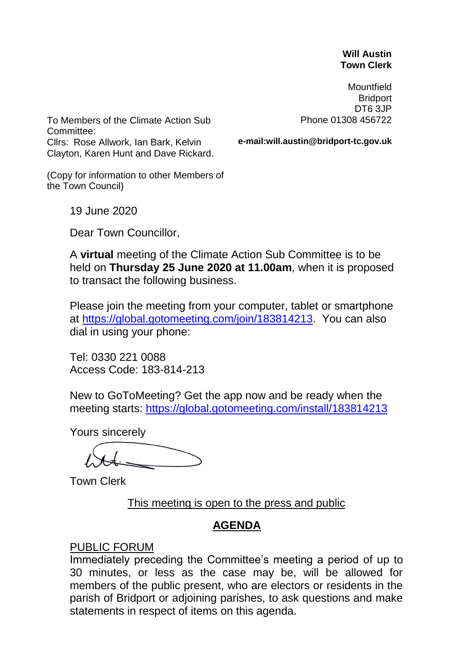#### **Will Austin Town Clerk**

Mountfield **Bridport** DT6 3JP Phone 01308 456722

To Members of the Climate Action Sub Committee: Cllrs: Rose Allwork, Ian Bark, Kelvin Clayton, Karen Hunt and Dave Rickard.

**e-mail:will.austin@bridport-tc.gov.uk**

(Copy for information to other Members of the Town Council)

19 June 2020

Dear Town Councillor,

A **virtual** meeting of the Climate Action Sub Committee is to be held on **Thursday 25 June 2020 at 11.00am**, when it is proposed to transact the following business.

Please join the meeting from your computer, tablet or smartphone at [https://global.gotomeeting.com/join/183814213.](https://global.gotomeeting.com/join/183814213) You can also dial in using your phone:

Tel: 0330 221 0088 Access Code: 183-814-213

New to GoToMeeting? Get the app now and be ready when the meeting starts:<https://global.gotomeeting.com/install/183814213>

Yours sincerely

Town Clerk

This meeting is open to the press and public

# **AGENDA**

### PUBLIC FORUM

Immediately preceding the Committee's meeting a period of up to 30 minutes, or less as the case may be, will be allowed for members of the public present, who are electors or residents in the parish of Bridport or adjoining parishes, to ask questions and make statements in respect of items on this agenda.